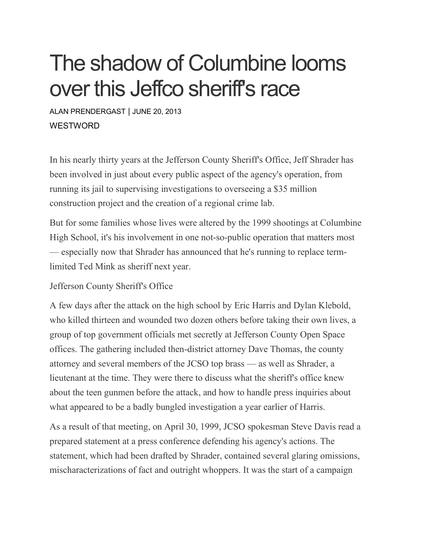## The shadow of Columbine looms over this Jeffco sheriff's race

ALAN [PRENDERGAST](https://www.westword.com/authors/alan-prendergast-5052731) | JUNE 20, 2013 **WESTWORD** 

In his nearly thirty years at the Jefferson County Sheriff's Office, Jeff Shrader has been involved in just about every public aspect of the agency's operation, from running its jail to supervising investigations to overseeing a \$35 million construction project and the creation of a regional crime lab.

But for some families whose lives were altered by the 1999 shootings at Columbine High School, it's his involvement in one not-so-public operation that matters most — especially now that Shrader has announced that he's running to replace termlimited Ted Mink as sheriff next year.

Jefferson County Sheriff's Office

A few days after the attack on the high school by Eric Harris and Dylan Klebold, who killed thirteen and wounded two dozen others before taking their own lives, a group of top government officials met secretly at Jefferson County Open Space offices. The gathering included then-district attorney Dave Thomas, the county attorney and several members of the JCSO top brass — as well as Shrader, a lieutenant at the time. They were there to discuss what the sheriff's office knew about the teen gunmen before the attack, and how to handle press inquiries about what appeared to be a badly bungled investigation a year earlier of Harris.

As a result of that meeting, on April 30, 1999, JCSO spokesman Steve Davis read a prepared statement at a press conference defending his agency's actions. The statement, which had been drafted by Shrader, contained several glaring omissions, mischaracterizations of fact and outright whoppers. It was the start of a campaign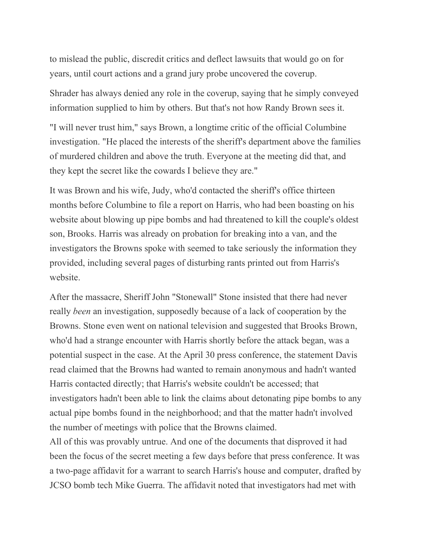to mislead the public, discredit critics and deflect lawsuits that would go on for years, until court actions and a grand jury probe uncovered the coverup.

Shrader has always denied any role in the coverup, saying that he simply conveyed information supplied to him by others. But that's not how Randy Brown sees it.

"I will never trust him," says Brown, a longtime critic of the official Columbine investigation. "He placed the interests of the sheriff's department above the families of murdered children and above the truth. Everyone at the meeting did that, and they kept the secret like the cowards I believe they are."

It was Brown and his wife, Judy, who'd contacted the sheriff's office thirteen months before Columbine to file a report on Harris, who had been boasting on his website about blowing up pipe bombs and had threatened to kill the couple's oldest son, Brooks. Harris was already on probation for breaking into a van, and the investigators the Browns spoke with seemed to take seriously the information they provided, including several pages of disturbing rants printed out from Harris's website.

After the massacre, Sheriff John "Stonewall" Stone insisted that there had never really *been* an investigation, supposedly because of a lack of cooperation by the Browns. Stone even went on national television and suggested that Brooks Brown, who'd had a strange encounter with Harris shortly before the attack began, was a potential suspect in the case. At the April 30 press conference, the statement Davis read claimed that the Browns had wanted to remain anonymous and hadn't wanted Harris contacted directly; that Harris's website couldn't be accessed; that investigators hadn't been able to link the claims about detonating pipe bombs to any actual pipe bombs found in the neighborhood; and that the matter hadn't involved the number of meetings with police that the Browns claimed.

All of this was provably untrue. And one of the documents that disproved it had been the focus of the secret meeting a few days before that press conference. It was a two-page affidavit for a warrant to search Harris's house and computer, drafted by JCSO bomb tech Mike Guerra. The affidavit noted that investigators had met with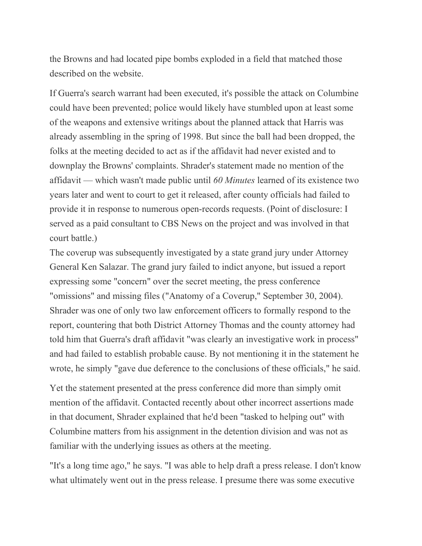the Browns and had located pipe bombs exploded in a field that matched those described on the website.

If Guerra's search warrant had been executed, it's possible the attack on Columbine could have been prevented; police would likely have stumbled upon at least some of the weapons and extensive writings about the planned attack that Harris was already assembling in the spring of 1998. But since the ball had been dropped, the folks at the meeting decided to act as if the affidavit had never existed and to downplay the Browns' complaints. Shrader's statement made no mention of the affidavit — which wasn't made public until *60 Minutes* learned of its existence two years later and went to court to get it released, after county officials had failed to provide it in response to numerous open-records requests. (Point of disclosure: I served as a paid consultant to CBS News on the project and was involved in that court battle.)

The coverup was subsequently investigated by a state grand jury under Attorney General Ken Salazar. The grand jury failed to indict anyone, but issued a report expressing some "concern" over the secret meeting, the press conference "omissions" and missing files ("Anatomy of a Coverup," September 30, 2004). Shrader was one of only two law enforcement officers to formally respond to the report, countering that both District Attorney Thomas and the county attorney had told him that Guerra's draft affidavit "was clearly an investigative work in process" and had failed to establish probable cause. By not mentioning it in the statement he wrote, he simply "gave due deference to the conclusions of these officials," he said.

Yet the statement presented at the press conference did more than simply omit mention of the affidavit. Contacted recently about other incorrect assertions made in that document, Shrader explained that he'd been "tasked to helping out" with Columbine matters from his assignment in the detention division and was not as familiar with the underlying issues as others at the meeting.

"It's a long time ago," he says. "I was able to help draft a press release. I don't know what ultimately went out in the press release. I presume there was some executive